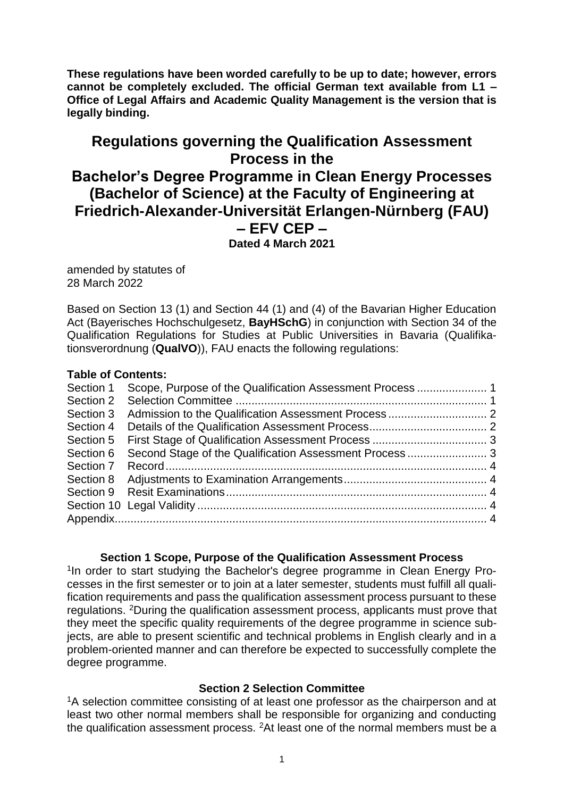**These regulations have been worded carefully to be up to date; however, errors cannot be completely excluded. The official German text available from L1 – Office of Legal Affairs and Academic Quality Management is the version that is legally binding.**

# **Regulations governing the Qualification Assessment Process in the Bachelor's Degree Programme in Clean Energy Processes (Bachelor of Science) at the Faculty of Engineering at Friedrich-Alexander-Universität Erlangen-Nürnberg (FAU) – EFV CEP – Dated 4 March 2021**

amended by statutes of 28 March 2022

Based on Section 13 (1) and Section 44 (1) and (4) of the Bavarian Higher Education Act (Bayerisches Hochschulgesetz, **BayHSchG**) in conjunction with Section 34 of the Qualification Regulations for Studies at Public Universities in Bavaria (Qualifikationsverordnung (**QualVO**)), FAU enacts the following regulations:

### **Table of Contents:**

| Section 1 |  |
|-----------|--|
|           |  |
| Section 3 |  |
| Section 4 |  |
| Section 5 |  |
| Section 6 |  |
| Section 7 |  |
| Section 8 |  |
|           |  |
|           |  |
|           |  |
|           |  |

### **Section 1 Scope, Purpose of the Qualification Assessment Process**

<span id="page-0-0"></span><sup>1</sup>In order to start studying the Bachelor's degree programme in Clean Energy Processes in the first semester or to join at a later semester, students must fulfill all qualification requirements and pass the qualification assessment process pursuant to these regulations. <sup>2</sup>During the qualification assessment process, applicants must prove that they meet the specific quality requirements of the degree programme in science subjects, are able to present scientific and technical problems in English clearly and in a problem-oriented manner and can therefore be expected to successfully complete the degree programme.

#### **Section 2 Selection Committee**

<span id="page-0-1"></span><sup>1</sup>A selection committee consisting of at least one professor as the chairperson and at least two other normal members shall be responsible for organizing and conducting the qualification assessment process.  $2$ At least one of the normal members must be a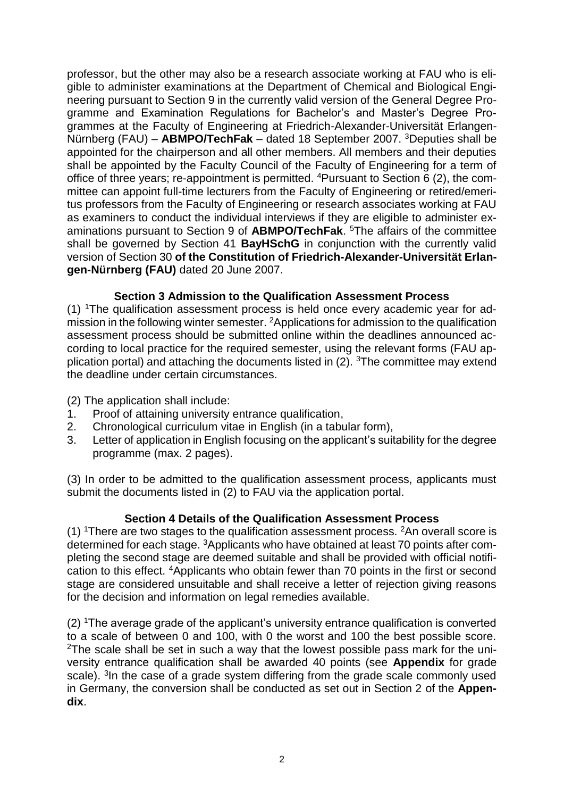professor, but the other may also be a research associate working at FAU who is eligible to administer examinations at the Department of Chemical and Biological Engineering pursuant to Section 9 in the currently valid version of the General Degree Programme and Examination Regulations for Bachelor's and Master's Degree Programmes at the Faculty of Engineering at Friedrich-Alexander-Universität Erlangen-Nürnberg (FAU) – **ABMPO/TechFak** – dated 18 September 2007. <sup>3</sup>Deputies shall be appointed for the chairperson and all other members. All members and their deputies shall be appointed by the Faculty Council of the Faculty of Engineering for a term of office of three years; re-appointment is permitted. 4Pursuant to Section 6 (2), the committee can appoint full-time lecturers from the Faculty of Engineering or retired/emeritus professors from the Faculty of Engineering or research associates working at FAU as examiners to conduct the individual interviews if they are eligible to administer examinations pursuant to Section 9 of **ABMPO/TechFak**. <sup>5</sup>The affairs of the committee shall be governed by Section 41 **BayHSchG** in conjunction with the currently valid version of Section 30 **of the Constitution of Friedrich-Alexander-Universität Erlangen-Nürnberg (FAU)** dated 20 June 2007.

### **Section 3 Admission to the Qualification Assessment Process**

<span id="page-1-0"></span>(1) 1The qualification assessment process is held once every academic year for admission in the following winter semester. <sup>2</sup>Applications for admission to the qualification assessment process should be submitted online within the deadlines announced according to local practice for the required semester, using the relevant forms (FAU application portal) and attaching the documents listed in  $(2)$ . <sup>3</sup>The committee may extend the deadline under certain circumstances.

(2) The application shall include:

- 1. Proof of attaining university entrance qualification,
- 2. Chronological curriculum vitae in English (in a tabular form),
- 3. Letter of application in English focusing on the applicant's suitability for the degree programme (max. 2 pages).

(3) In order to be admitted to the qualification assessment process, applicants must submit the documents listed in (2) to FAU via the application portal.

### **Section 4 Details of the Qualification Assessment Process**

<span id="page-1-1"></span>(1)  $\text{1}$  There are two stages to the qualification assessment process.  $\text{2}$ An overall score is determined for each stage. 3Applicants who have obtained at least 70 points after completing the second stage are deemed suitable and shall be provided with official notification to this effect. <sup>4</sup>Applicants who obtain fewer than 70 points in the first or second stage are considered unsuitable and shall receive a letter of rejection giving reasons for the decision and information on legal remedies available.

(2) <sup>1</sup>The average grade of the applicant's university entrance qualification is converted to a scale of between 0 and 100, with 0 the worst and 100 the best possible score. <sup>2</sup>The scale shall be set in such a way that the lowest possible pass mark for the university entrance qualification shall be awarded 40 points (see **Appendix** for grade scale). <sup>3</sup>In the case of a grade system differing from the grade scale commonly used in Germany, the conversion shall be conducted as set out in Section 2 of the **Appendix**.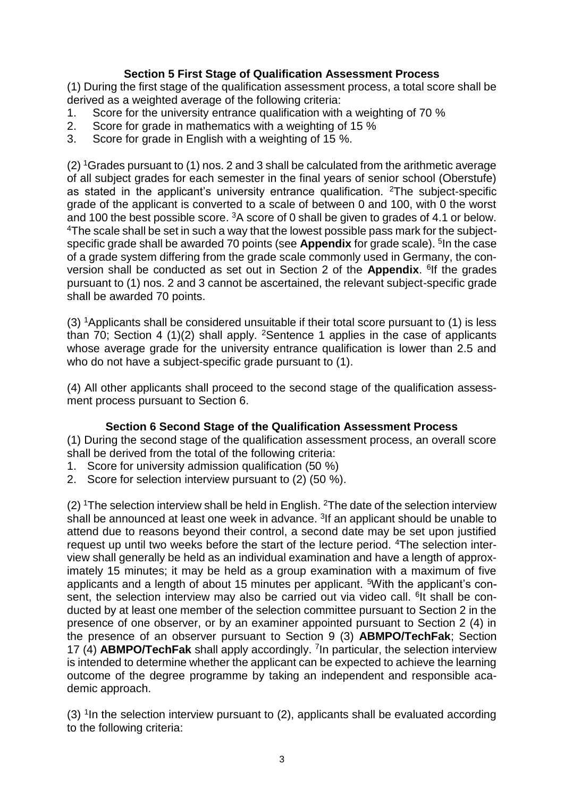# **Section 5 First Stage of Qualification Assessment Process**

<span id="page-2-0"></span>(1) During the first stage of the qualification assessment process, a total score shall be derived as a weighted average of the following criteria:

- 1. Score for the university entrance qualification with a weighting of 70 %
- 2. Score for grade in mathematics with a weighting of 15 %
- 3. Score for grade in English with a weighting of 15 %.

(2) <sup>1</sup>Grades pursuant to (1) nos. 2 and 3 shall be calculated from the arithmetic average of all subject grades for each semester in the final years of senior school (Oberstufe) as stated in the applicant's university entrance qualification. <sup>2</sup>The subject-specific grade of the applicant is converted to a scale of between 0 and 100, with 0 the worst and 100 the best possible score. <sup>3</sup>A score of 0 shall be given to grades of 4.1 or below. <sup>4</sup>The scale shall be set in such a way that the lowest possible pass mark for the subjectspecific grade shall be awarded 70 points (see **Appendix** for grade scale). <sup>5</sup>In the case of a grade system differing from the grade scale commonly used in Germany, the conversion shall be conducted as set out in Section 2 of the **Appendix**. <sup>6</sup>If the grades pursuant to (1) nos. 2 and 3 cannot be ascertained, the relevant subject-specific grade shall be awarded 70 points.

(3) <sup>1</sup>Applicants shall be considered unsuitable if their total score pursuant to (1) is less than 70; Section 4 (1)(2) shall apply. <sup>2</sup>Sentence 1 applies in the case of applicants whose average grade for the university entrance qualification is lower than 2.5 and who do not have a subject-specific grade pursuant to (1).

(4) All other applicants shall proceed to the second stage of the qualification assessment process pursuant to Section 6.

## **Section 6 Second Stage of the Qualification Assessment Process**

<span id="page-2-1"></span>(1) During the second stage of the qualification assessment process, an overall score shall be derived from the total of the following criteria:

- 1. Score for university admission qualification (50 %)
- 2. Score for selection interview pursuant to (2) (50 %).

 $(2)$  <sup>1</sup>The selection interview shall be held in English. <sup>2</sup>The date of the selection interview shall be announced at least one week in advance. <sup>3</sup>If an applicant should be unable to attend due to reasons beyond their control, a second date may be set upon justified request up until two weeks before the start of the lecture period. 4The selection interview shall generally be held as an individual examination and have a length of approximately 15 minutes; it may be held as a group examination with a maximum of five applicants and a length of about 15 minutes per applicant. 5With the applicant's consent, the selection interview may also be carried out via video call. <sup>6</sup>lt shall be conducted by at least one member of the selection committee pursuant to Section 2 in the presence of one observer, or by an examiner appointed pursuant to Section 2 (4) in the presence of an observer pursuant to Section 9 (3) **ABMPO/TechFak**; Section 17 (4) **ABMPO/TechFak** shall apply accordingly. <sup>7</sup> In particular, the selection interview is intended to determine whether the applicant can be expected to achieve the learning outcome of the degree programme by taking an independent and responsible academic approach.

 $(3)$  <sup>1</sup>In the selection interview pursuant to  $(2)$ , applicants shall be evaluated according to the following criteria: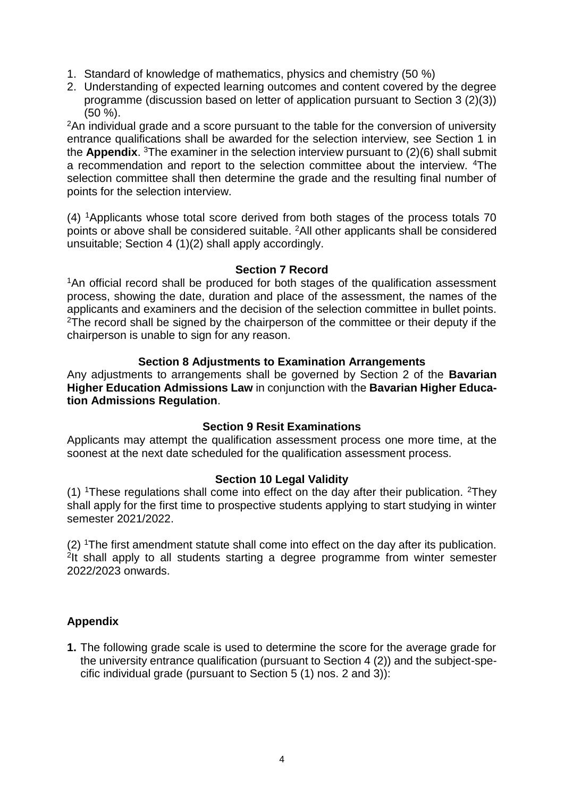- 1. Standard of knowledge of mathematics, physics and chemistry (50 %)
- 2. Understanding of expected learning outcomes and content covered by the degree programme (discussion based on letter of application pursuant to Section 3 (2)(3)) (50 %).

 $2An$  individual grade and a score pursuant to the table for the conversion of university entrance qualifications shall be awarded for the selection interview, see Section 1 in the **Appendix**. <sup>3</sup>The examiner in the selection interview pursuant to (2)(6) shall submit a recommendation and report to the selection committee about the interview. <sup>4</sup>The selection committee shall then determine the grade and the resulting final number of points for the selection interview.

(4) <sup>1</sup>Applicants whose total score derived from both stages of the process totals 70 points or above shall be considered suitable. <sup>2</sup>All other applicants shall be considered unsuitable; Section 4 (1)(2) shall apply accordingly.

#### **Section 7 Record**

<span id="page-3-0"></span><sup>1</sup>An official record shall be produced for both stages of the qualification assessment process, showing the date, duration and place of the assessment, the names of the applicants and examiners and the decision of the selection committee in bullet points. <sup>2</sup>The record shall be signed by the chairperson of the committee or their deputy if the chairperson is unable to sign for any reason.

### **Section 8 Adjustments to Examination Arrangements**

<span id="page-3-1"></span>Any adjustments to arrangements shall be governed by Section 2 of the **Bavarian Higher Education Admissions Law** in conjunction with the **Bavarian Higher Education Admissions Regulation**.

### **Section 9 Resit Examinations**

<span id="page-3-2"></span>Applicants may attempt the qualification assessment process one more time, at the soonest at the next date scheduled for the qualification assessment process.

### **Section 10 Legal Validity**

<span id="page-3-3"></span>(1) <sup>1</sup>These regulations shall come into effect on the day after their publication. <sup>2</sup>They shall apply for the first time to prospective students applying to start studying in winter semester 2021/2022.

(2) <sup>1</sup>The first amendment statute shall come into effect on the day after its publication. <sup>2</sup>It shall apply to all students starting a degree programme from winter semester 2022/2023 onwards.

## <span id="page-3-4"></span>**Appendix**

**1.** The following grade scale is used to determine the score for the average grade for the university entrance qualification (pursuant to Section 4 (2)) and the subject-specific individual grade (pursuant to Section 5 (1) nos. 2 and 3)):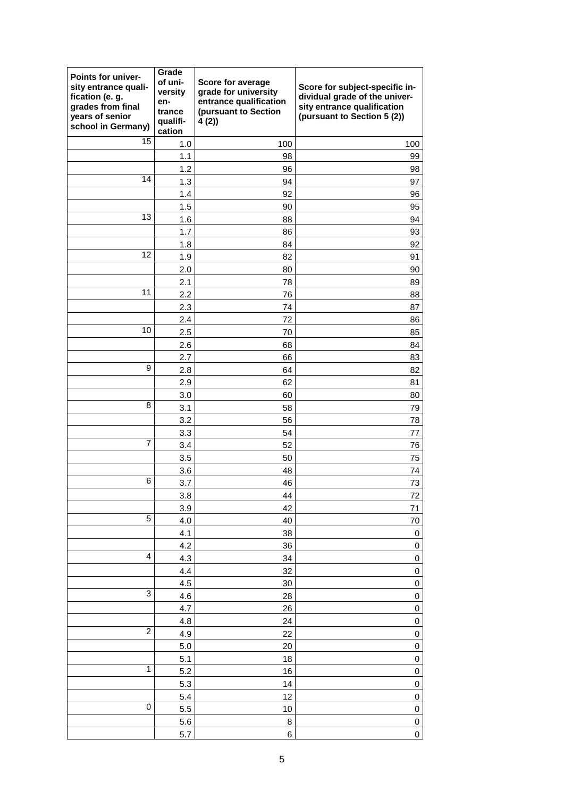| Points for univer-<br>sity entrance quali-<br>fication (e. g.<br>grades from final<br>years of senior<br>school in Germany) | Grade<br>of uni-<br>versity<br>en-<br>trance<br>qualifi-<br>cation | Score for average<br>grade for university<br>entrance qualification<br>(pursuant to Section<br>4(2) | Score for subject-specific in-<br>dividual grade of the univer-<br>sity entrance qualification<br>(pursuant to Section 5 (2)) |
|-----------------------------------------------------------------------------------------------------------------------------|--------------------------------------------------------------------|-----------------------------------------------------------------------------------------------------|-------------------------------------------------------------------------------------------------------------------------------|
| 15                                                                                                                          | 1.0                                                                | 100                                                                                                 | 100                                                                                                                           |
|                                                                                                                             | 1.1                                                                | 98                                                                                                  | 99                                                                                                                            |
|                                                                                                                             | 1.2                                                                | 96                                                                                                  | 98                                                                                                                            |
| 14                                                                                                                          | 1.3                                                                | 94                                                                                                  | 97                                                                                                                            |
|                                                                                                                             | 1.4                                                                | 92                                                                                                  | 96                                                                                                                            |
|                                                                                                                             | 1.5                                                                | 90                                                                                                  | 95                                                                                                                            |
| 13                                                                                                                          | 1.6                                                                | 88                                                                                                  | 94                                                                                                                            |
|                                                                                                                             | 1.7                                                                | 86                                                                                                  | 93                                                                                                                            |
|                                                                                                                             | 1.8                                                                | 84                                                                                                  | 92                                                                                                                            |
| 12                                                                                                                          | 1.9                                                                | 82                                                                                                  | 91                                                                                                                            |
|                                                                                                                             | 2.0                                                                | 80                                                                                                  | 90                                                                                                                            |
|                                                                                                                             | 2.1                                                                | 78                                                                                                  | 89                                                                                                                            |
| 11                                                                                                                          | 2.2                                                                | 76                                                                                                  | 88                                                                                                                            |
|                                                                                                                             | 2.3                                                                | 74                                                                                                  | 87                                                                                                                            |
|                                                                                                                             | 2.4                                                                | 72                                                                                                  | 86                                                                                                                            |
| 10                                                                                                                          | 2.5                                                                | 70                                                                                                  | 85                                                                                                                            |
|                                                                                                                             | 2.6                                                                | 68                                                                                                  | 84                                                                                                                            |
|                                                                                                                             | 2.7                                                                | 66                                                                                                  | 83                                                                                                                            |
| 9                                                                                                                           | 2.8                                                                | 64                                                                                                  | 82                                                                                                                            |
|                                                                                                                             | 2.9                                                                | 62                                                                                                  | 81                                                                                                                            |
|                                                                                                                             | 3.0                                                                | 60                                                                                                  | 80                                                                                                                            |
| 8                                                                                                                           | 3.1                                                                | 58                                                                                                  | 79                                                                                                                            |
|                                                                                                                             | 3.2                                                                | 56                                                                                                  | 78                                                                                                                            |
|                                                                                                                             | 3.3                                                                | 54                                                                                                  | 77                                                                                                                            |
| 7                                                                                                                           | 3.4                                                                | 52                                                                                                  | 76                                                                                                                            |
|                                                                                                                             | 3.5                                                                | 50                                                                                                  | 75                                                                                                                            |
| 6                                                                                                                           | 3.6                                                                | 48                                                                                                  | 74                                                                                                                            |
|                                                                                                                             | 3.7                                                                | 46                                                                                                  | 73                                                                                                                            |
|                                                                                                                             | 3.8                                                                | 44                                                                                                  | 72                                                                                                                            |
| 5                                                                                                                           | 3.9                                                                | 42                                                                                                  | 71                                                                                                                            |
|                                                                                                                             | 4.0                                                                | 40<br>38                                                                                            | 70                                                                                                                            |
|                                                                                                                             | 4.1<br>4.2                                                         | 36                                                                                                  | $\pmb{0}$<br>$\pmb{0}$                                                                                                        |
| 4                                                                                                                           | 4.3                                                                | 34                                                                                                  | $\pmb{0}$                                                                                                                     |
|                                                                                                                             | 4.4                                                                | 32                                                                                                  | $\pmb{0}$                                                                                                                     |
|                                                                                                                             | 4.5                                                                | 30                                                                                                  | $\mathbf 0$                                                                                                                   |
| 3                                                                                                                           | 4.6                                                                | 28                                                                                                  | 0                                                                                                                             |
|                                                                                                                             | 4.7                                                                | 26                                                                                                  | $\pmb{0}$                                                                                                                     |
|                                                                                                                             | 4.8                                                                | 24                                                                                                  | $\mathbf 0$                                                                                                                   |
| $\overline{c}$                                                                                                              | 4.9                                                                | 22                                                                                                  | $\mathbf 0$                                                                                                                   |
|                                                                                                                             | $5.0\,$                                                            | 20                                                                                                  | $\pmb{0}$                                                                                                                     |
|                                                                                                                             | 5.1                                                                | 18                                                                                                  | 0                                                                                                                             |
| $\mathbf 1$                                                                                                                 | 5.2                                                                | 16                                                                                                  | $\pmb{0}$                                                                                                                     |
|                                                                                                                             | 5.3                                                                | 14                                                                                                  | $\pmb{0}$                                                                                                                     |
|                                                                                                                             | 5.4                                                                | 12                                                                                                  | 0                                                                                                                             |
| 0                                                                                                                           | 5.5                                                                | 10                                                                                                  | 0                                                                                                                             |
|                                                                                                                             | 5.6                                                                | 8                                                                                                   | $\pmb{0}$                                                                                                                     |
|                                                                                                                             | 5.7                                                                | 6                                                                                                   | 0                                                                                                                             |